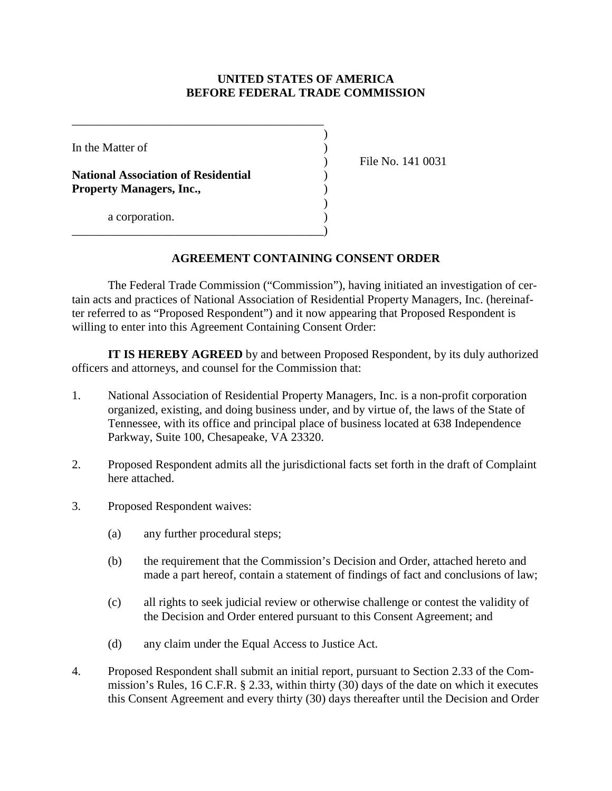## **UNITED STATES OF AMERICA BEFORE FEDERAL TRADE COMMISSION**

| In the Matter of                                                              |  |
|-------------------------------------------------------------------------------|--|
| <b>National Association of Residential</b><br><b>Property Managers, Inc.,</b> |  |
| a corporation.                                                                |  |

) File No. 141 0031

## **AGREEMENT CONTAINING CONSENT ORDER**

The Federal Trade Commission ("Commission"), having initiated an investigation of certain acts and practices of National Association of Residential Property Managers, Inc. (hereinafter referred to as "Proposed Respondent") and it now appearing that Proposed Respondent is willing to enter into this Agreement Containing Consent Order:

**IT IS HEREBY AGREED** by and between Proposed Respondent, by its duly authorized officers and attorneys, and counsel for the Commission that:

- 1. National Association of Residential Property Managers, Inc. is a non-profit corporation organized, existing, and doing business under, and by virtue of, the laws of the State of Tennessee, with its office and principal place of business located at 638 Independence Parkway, Suite 100, Chesapeake, VA 23320.
- 2. Proposed Respondent admits all the jurisdictional facts set forth in the draft of Complaint here attached.
- 3. Proposed Respondent waives:
	- (a) any further procedural steps;
	- (b) the requirement that the Commission's Decision and Order, attached hereto and made a part hereof, contain a statement of findings of fact and conclusions of law;
	- (c) all rights to seek judicial review or otherwise challenge or contest the validity of the Decision and Order entered pursuant to this Consent Agreement; and
	- (d) any claim under the Equal Access to Justice Act.
- 4. Proposed Respondent shall submit an initial report, pursuant to Section 2.33 of the Commission's Rules, 16 C.F.R. § 2.33, within thirty (30) days of the date on which it executes this Consent Agreement and every thirty (30) days thereafter until the Decision and Order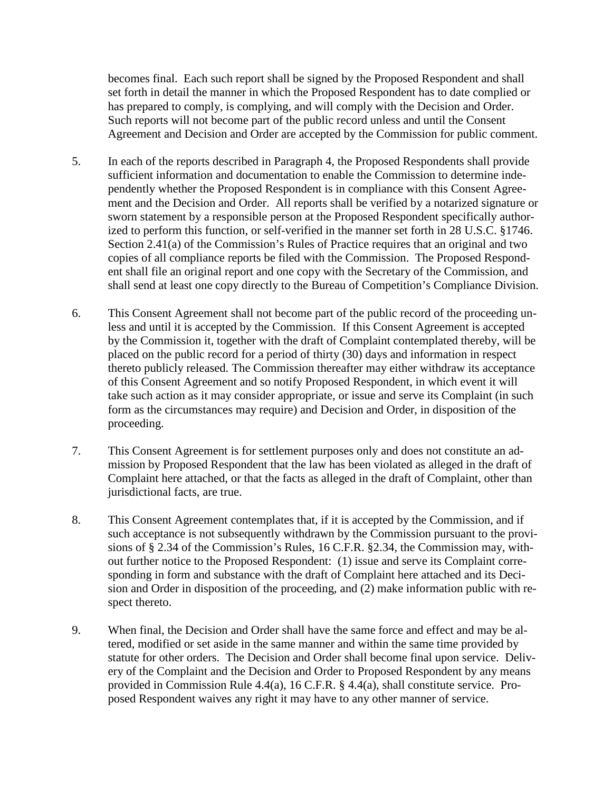becomes final. Each such report shall be signed by the Proposed Respondent and shall set forth in detail the manner in which the Proposed Respondent has to date complied or has prepared to comply, is complying, and will comply with the Decision and Order. Such reports will not become part of the public record unless and until the Consent Agreement and Decision and Order are accepted by the Commission for public comment.

- 5. In each of the reports described in Paragraph 4, the Proposed Respondents shall provide sufficient information and documentation to enable the Commission to determine independently whether the Proposed Respondent is in compliance with this Consent Agreement and the Decision and Order. All reports shall be verified by a notarized signature or sworn statement by a responsible person at the Proposed Respondent specifically authorized to perform this function, or self-verified in the manner set forth in 28 U.S.C. §1746. Section 2.41(a) of the Commission's Rules of Practice requires that an original and two copies of all compliance reports be filed with the Commission. The Proposed Respondent shall file an original report and one copy with the Secretary of the Commission, and shall send at least one copy directly to the Bureau of Competition's Compliance Division.
- 6. This Consent Agreement shall not become part of the public record of the proceeding unless and until it is accepted by the Commission. If this Consent Agreement is accepted by the Commission it, together with the draft of Complaint contemplated thereby, will be placed on the public record for a period of thirty (30) days and information in respect thereto publicly released. The Commission thereafter may either withdraw its acceptance of this Consent Agreement and so notify Proposed Respondent, in which event it will take such action as it may consider appropriate, or issue and serve its Complaint (in such form as the circumstances may require) and Decision and Order, in disposition of the proceeding.
- 7. This Consent Agreement is for settlement purposes only and does not constitute an admission by Proposed Respondent that the law has been violated as alleged in the draft of Complaint here attached, or that the facts as alleged in the draft of Complaint, other than jurisdictional facts, are true.
- 8. This Consent Agreement contemplates that, if it is accepted by the Commission, and if such acceptance is not subsequently withdrawn by the Commission pursuant to the provisions of § 2.34 of the Commission's Rules, 16 C.F.R. §2.34, the Commission may, without further notice to the Proposed Respondent: (1) issue and serve its Complaint corresponding in form and substance with the draft of Complaint here attached and its Decision and Order in disposition of the proceeding, and (2) make information public with respect thereto.
- 9. When final, the Decision and Order shall have the same force and effect and may be altered, modified or set aside in the same manner and within the same time provided by statute for other orders. The Decision and Order shall become final upon service. Delivery of the Complaint and the Decision and Order to Proposed Respondent by any means provided in Commission Rule 4.4(a), 16 C.F.R. § 4.4(a), shall constitute service. Proposed Respondent waives any right it may have to any other manner of service.